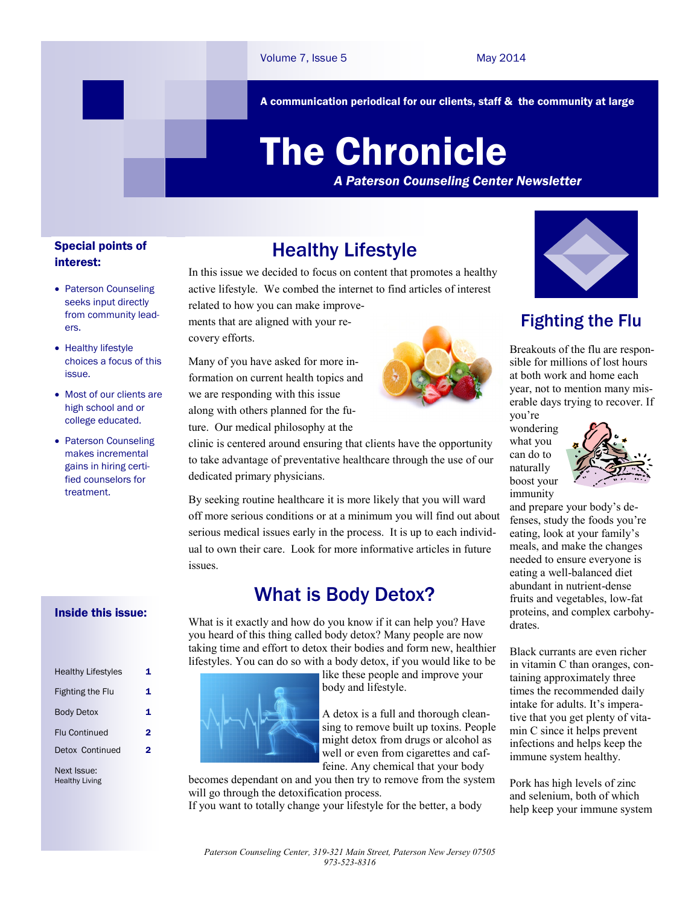A communication periodical for our clients, staff & the community at large

# The Chronicle

*A Paterson Counseling Center Newsletter*

#### Special points of interest:

- Paterson Counseling seeks input directly from community leaders.
- Healthy lifestyle choices a focus of this issue.
- Most of our clients are high school and or college educated.
- Paterson Counseling makes incremental gains in hiring certified counselors for treatment.

#### Inside this issue:

| <b>Healthy Lifestyles</b> | 1 |
|---------------------------|---|
|                           |   |
| <b>Fighting the Flu</b>   | 1 |
| <b>Body Detox</b>         | 1 |
| <b>Flu Continued</b>      | 2 |
| Detox Continued           | 2 |
|                           |   |

Next Issue: Healthy Living

# Healthy Lifestyle

In this issue we decided to focus on content that promotes a healthy active lifestyle. We combed the internet to find articles of interest related to how you can make improve-

ments that are aligned with your recovery efforts.

Many of you have asked for more information on current health topics and we are responding with this issue along with others planned for the future. Our medical philosophy at the



clinic is centered around ensuring that clients have the opportunity to take advantage of preventative healthcare through the use of our dedicated primary physicians.

By seeking routine healthcare it is more likely that you will ward off more serious conditions or at a minimum you will find out about serious medical issues early in the process. It is up to each individual to own their care. Look for more informative articles in future issues.

# What is Body Detox?

What is it exactly and how do you know if it can help you? Have you heard of this thing called body detox? Many people are now taking time and effort to detox their bodies and form new, healthier lifestyles. You can do so with a body detox, if you would like to be

> like these people and improve your body and lifestyle.

A detox is a full and thorough cleansing to remove built up toxins. People might detox from drugs or alcohol as well or even from cigarettes and caffeine. Any chemical that your body

becomes dependant on and you then try to remove from the system will go through the detoxification process.

If you want to totally change your lifestyle for the better, a body



# Fighting the Flu

Breakouts of the flu are responsible for millions of lost hours at both work and home each year, not to mention many miserable days trying to recover. If you're

wondering what you can do to naturally boost your immunity



and prepare your body's defenses, study the foods you're eating, look at your family's meals, and make the changes needed to ensure everyone is eating a well-balanced diet abundant in nutrient-dense fruits and vegetables, low-fat proteins, and complex carbohydrates.

Black currants are even richer in vitamin C than oranges, containing approximately three times the recommended daily intake for adults. It's imperative that you get plenty of vitamin C since it helps prevent infections and helps keep the immune system healthy.

Pork has high levels of zinc and selenium, both of which help keep your immune system